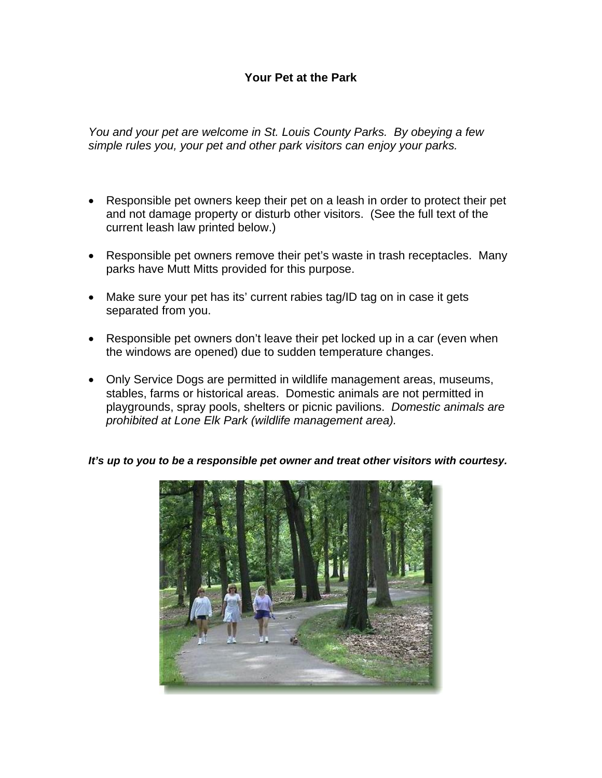## **Your Pet at the Park**

*You and your pet are welcome in St. Louis County Parks. By obeying a few simple rules you, your pet and other park visitors can enjoy your parks.* 

- Responsible pet owners keep their pet on a leash in order to protect their pet and not damage property or disturb other visitors. (See the full text of the current leash law printed below.)
- Responsible pet owners remove their pet's waste in trash receptacles. Many parks have Mutt Mitts provided for this purpose.
- Make sure your pet has its' current rabies tag/ID tag on in case it gets separated from you.
- Responsible pet owners don't leave their pet locked up in a car (even when the windows are opened) due to sudden temperature changes.
- Only Service Dogs are permitted in wildlife management areas, museums, stables, farms or historical areas. Domestic animals are not permitted in playgrounds, spray pools, shelters or picnic pavilions. *Domestic animals are prohibited at Lone Elk Park (wildlife management area).*

*It's up to you to be a responsible pet owner and treat other visitors with courtesy.*